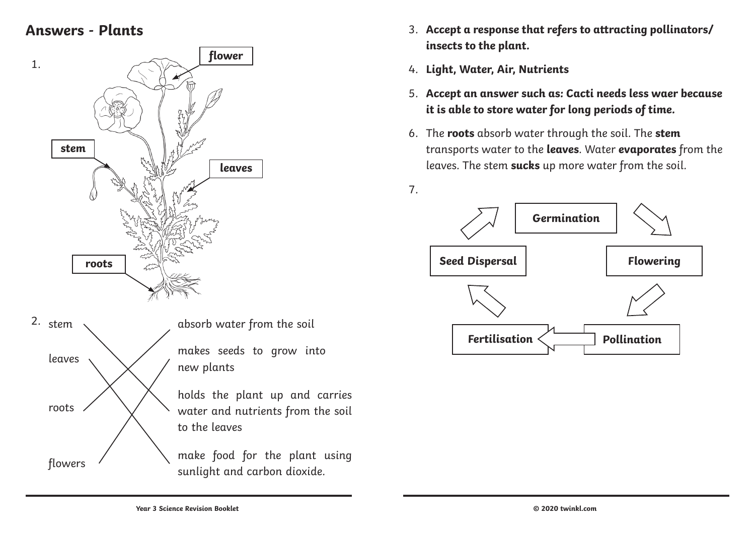### **Answers - Plants**



- 3. **Accept a response that refers to attracting pollinators/ insects to the plant.**
- 4. **Light, Water, Air, Nutrients**
- 5. **Accept an answer such as: Cacti needs less waer because it is able to store water for long periods of time.**
- 6. The **roots** absorb water through the soil. The **stem** transports water to the **leaves**. Water **evaporates** from the leaves. The stem **sucks** up more water from the soil.



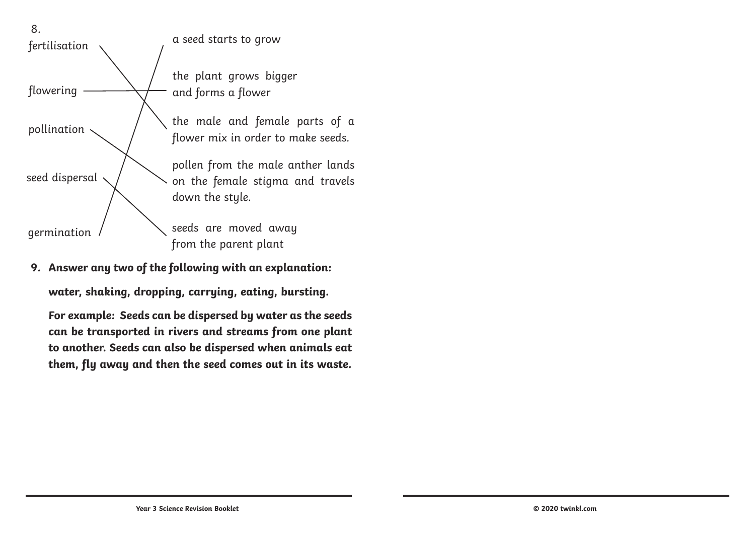

**9. Answer any two of the following with an explanation:**

**water, shaking, dropping, carrying, eating, bursting.**

**For example: Seeds can be dispersed by water as the seeds can be transported in rivers and streams from one plant to another. Seeds can also be dispersed when animals eat them, fly away and then the seed comes out in its waste.**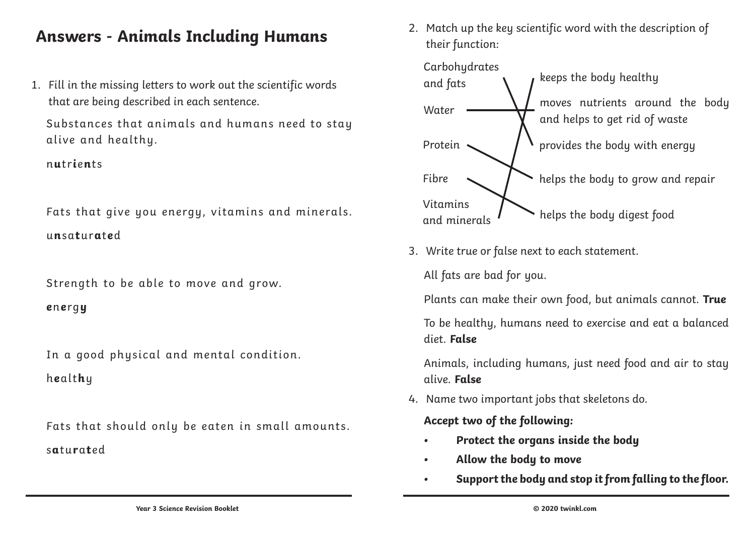### **Answers - Animals Including Humans**

1. Fill in the missing letters to work out the scientific words that are being described in each sentence.

Substances that animals and humans need to stay alive and healthy.

n**u**tr**i**e**n**ts

Fats that give you energy, vitamins and minerals. u**n**sa**t**ur**a**t**e**d

Strength to be able to move and grow.

**e**n**e**rg**y**

In a good physical and mental condition.

h**e**alt**h**y

Fats that should only be eaten in small amounts. s**a**tu**r**a**t**ed

2. Match up the key scientific word with the description of their function:



3. Write true or false next to each statement.

All fats are bad for you.

Plants can make their own food, but animals cannot. **True**

To be healthy, humans need to exercise and eat a balanced diet. **False**

Animals, including humans, just need food and air to stay alive. **False**

4. Name two important jobs that skeletons do.

**Accept two of the following:**

- **• Protect the organs inside the body**
- **• Allow the body to move**
- **• Support the body and stop it from falling to the floor.**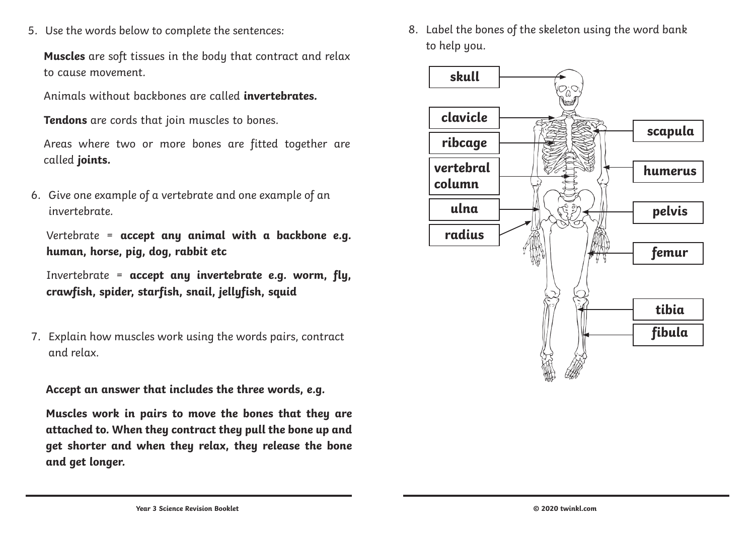5. Use the words below to complete the sentences:

**Muscles** are soft tissues in the body that contract and relax to cause movement.

Animals without backbones are called **invertebrates.**

**Tendons** are cords that join muscles to bones.

Areas where two or more bones are fitted together are called **joints.**

6. Give one example of a vertebrate and one example of an invertebrate.

Vertebrate = **accept any animal with a backbone e.g. human, horse, pig, dog, rabbit etc**

Invertebrate = **accept any invertebrate e.g. worm, fly, crawfish, spider, starfish, snail, jellyfish, squid**

7. Explain how muscles work using the words pairs, contract and relax.

**Accept an answer that includes the three words, e.g.**

**Muscles work in pairs to move the bones that they are attached to. When they contract they pull the bone up and get shorter and when they relax, they release the bone and get longer.**

8. Label the bones of the skeleton using the word bank to help you.

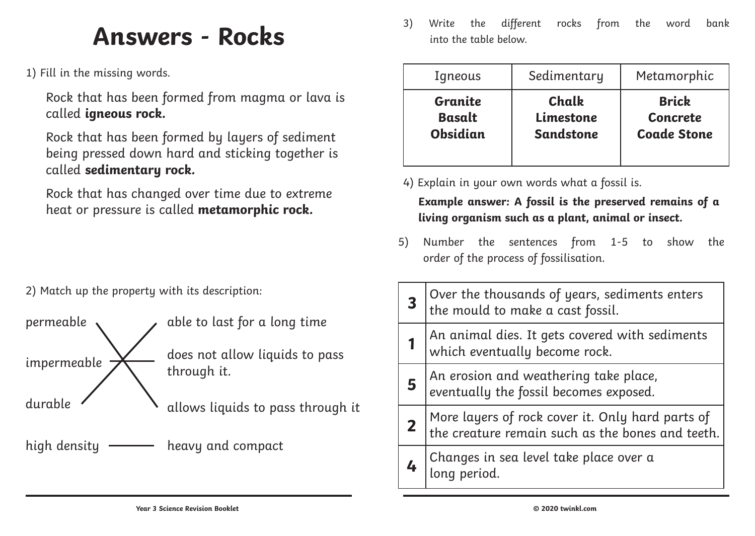# **Answers - Rocks**

1) Fill in the missing words.

Rock that has been formed from magma or lava is called **igneous rock.**

Rock that has been formed by layers of sediment being pressed down hard and sticking together is called **sedimentary rock.**

Rock that has changed over time due to extreme heat or pressure is called **metamorphic rock.**

2) Match up the property with its description:

permeable  $\sim$  able to last for a long time impermeable  $\sum$  does not allow liquids to pass through it. durable  $\left\{\right.$  allows liquids to pass through it high density **------** heavy and compact

3) Write the different rocks from the word bank into the table below.

| Igneous         | Sedimentary      | Metamorphic        |
|-----------------|------------------|--------------------|
| Granite         | Chalk            | <b>Brick</b>       |
| <b>Basalt</b>   | Limestone        | <b>Concrete</b>    |
| <b>Obsidian</b> | <b>Sandstone</b> | <b>Coade Stone</b> |

4) Explain in your own words what a fossil is.

**Example answer: A fossil is the preserved remains of a living organism such as a plant, animal or insect.**

5) Number the sentences from 1-5 to show the order of the process of fossilisation.

| Over the thousands of years, sediments enters<br>the mould to make a cast fossil.                    |
|------------------------------------------------------------------------------------------------------|
| An animal dies. It gets covered with sediments<br>which eventually become rock.                      |
| An erosion and weathering take place,<br>eventually the fossil becomes exposed.                      |
| More layers of rock cover it. Only hard parts of<br>the creature remain such as the bones and teeth. |
| Changes in sea level take place over a<br> long period.                                              |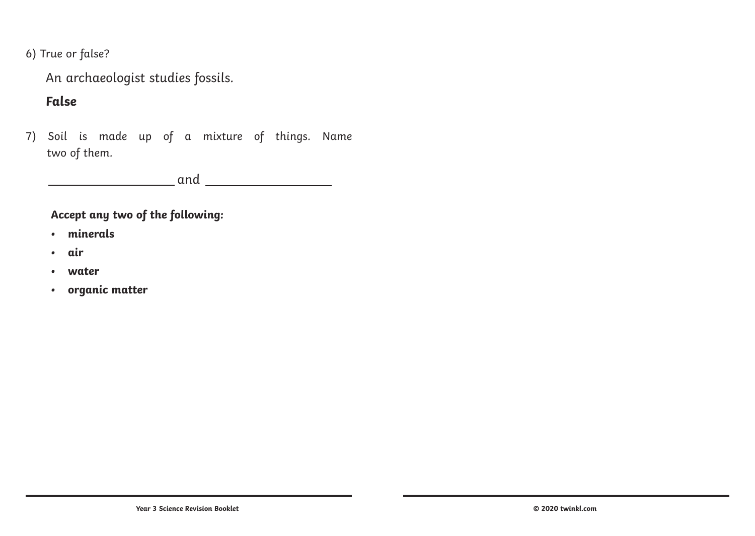6) True or false?

An archaeologist studies fossils.

#### **False**

7) Soil is made up of a mixture of things. Name two of them.

and

#### **Accept any two of the following:**

- **• minerals**
- **• air**
- **• water**
- **• organic matter**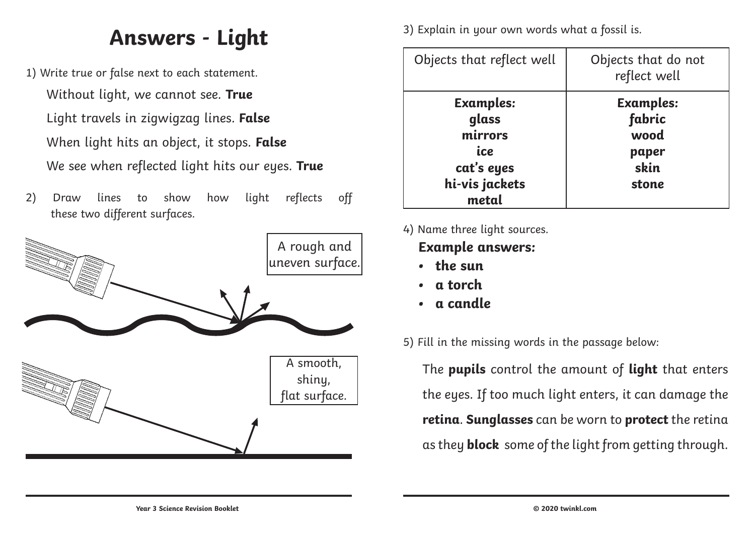## **Answers - Light**

- 1) Write true or false next to each statement. Without light, we cannot see. **True** Light travels in zigwigzag lines. **False** When light hits an object, it stops. **False** We see when reflected light hits our eyes. **True**
- 2) Draw lines to show how light reflects off these two different surfaces.



3) Explain in your own words what a fossil is.

| Objects that reflect well                                                            | Objects that do not<br>reflect well                          |
|--------------------------------------------------------------------------------------|--------------------------------------------------------------|
| <b>Examples:</b><br>glass<br>mirrors<br>ice<br>cat's eyes<br>hi-vis jackets<br>metal | <b>Examples:</b><br>fabric<br>wood<br>paper<br>skin<br>stone |

4) Name three light sources.

#### **Example answers:**

- **• the sun**
- **• a torch**
- **• a candle**

5) Fill in the missing words in the passage below:

The **pupils** control the amount of **light** that enters the eyes. If too much light enters, it can damage the **retina**. **Sunglasses** can be worn to **protect** the retina as they **block** some of the light from getting through.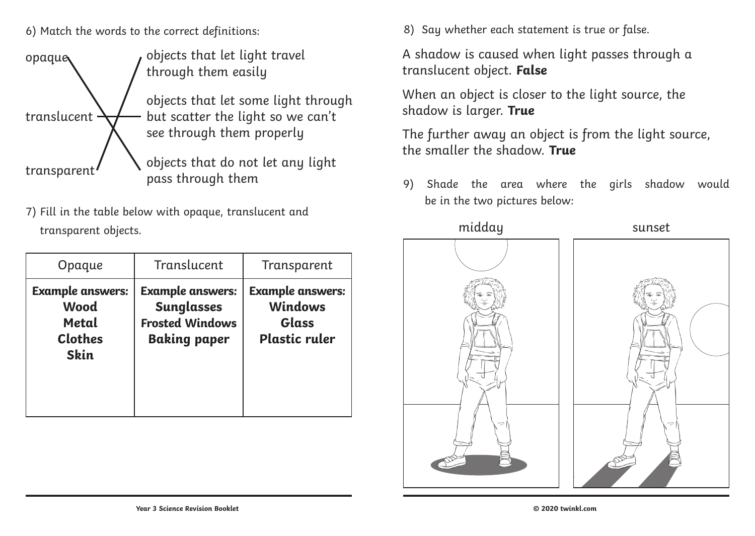6) Match the words to the correct definitions:



7) Fill in the table below with opaque, translucent and transparent objects.

| Opaque                                                                           | Translucent                                                                                   | Transparent                                                                |
|----------------------------------------------------------------------------------|-----------------------------------------------------------------------------------------------|----------------------------------------------------------------------------|
| <b>Example answers:</b><br><b>Wood</b><br>Metal<br><b>Clothes</b><br><b>Skin</b> | <b>Example answers:</b><br><b>Sunglasses</b><br><b>Frosted Windows</b><br><b>Baking paper</b> | <b>Example answers:</b><br><b>Windows</b><br>Glass<br><b>Plastic ruler</b> |

8) Say whether each statement is true or false.

A shadow is caused when light passes through a translucent object. **False**

When an object is closer to the light source, the shadow is larger. **True**

The further away an object is from the light source, the smaller the shadow. **True**

9) Shade the area where the girls shadow would be in the two pictures below:

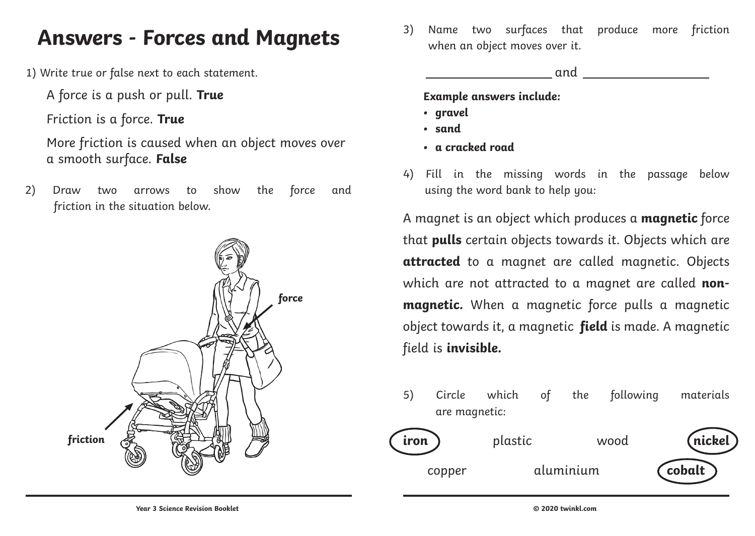## **Answers - Forces and Magnets**

1) Write true or false next to each statement.

A force is a push or pull. **True**

Friction is a force. **True**

More friction is caused when an object moves over a smooth surface. **False**

2) Draw two arrows to show the force and friction in the situation below.



3) Name two surfaces that produce more friction when an object moves over it.

and

**Example answers include:**

- **• gravel**
- **• sand**
- **• a cracked road**
- 4) Fill in the missing words in the passage below using the word bank to help you:

A magnet is an object which produces a **magnetic** force that **pulls** certain objects towards it. Objects which are **attracted** to a magnet are called magnetic. Objects which are not attracted to a magnet are called **nonmagnetic.** When a magnetic force pulls a magnetic object towards it, a magnetic **field** is made. A magnetic field is **invisible.**

5) Circle which of the following materials are magnetic: